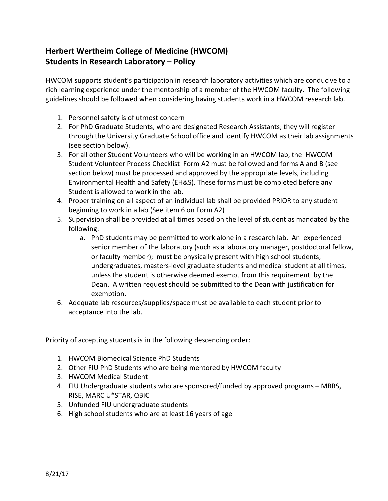## **Herbert Wertheim College of Medicine (HWCOM) Students in Research Laboratory – Policy**

HWCOM supports student's participation in research laboratory activities which are conducive to a rich learning experience under the mentorship of a member of the HWCOM faculty. The following guidelines should be followed when considering having students work in a HWCOM research lab.

- 1. Personnel safety is of utmost concern
- 2. For PhD Graduate Students, who are designated Research Assistants; they will register through the University Graduate School office and identify HWCOM as their lab assignments (see section below).
- 3. For all other Student Volunteers who will be working in an HWCOM lab, the HWCOM Student Volunteer Process Checklist Form A2 must be followed and forms A and B (see section below) must be processed and approved by the appropriate levels, including Environmental Health and Safety (EH&S). These forms must be completed before any Student is allowed to work in the lab.
- 4. Proper training on all aspect of an individual lab shall be provided PRIOR to any student beginning to work in a lab (See item 6 on Form A2)
- 5. Supervision shall be provided at all times based on the level of student as mandated by the following:
	- a. PhD students may be permitted to work alone in a research lab. An experienced senior member of the laboratory (such as a laboratory manager, postdoctoral fellow, or faculty member); must be physically present with high school students, undergraduates, masters-level graduate students and medical student at all times, unless the student is otherwise deemed exempt from this requirement by the Dean. A written request should be submitted to the Dean with justification for exemption.
- 6. Adequate lab resources/supplies/space must be available to each student prior to acceptance into the lab.

Priority of accepting students is in the following descending order:

- 1. HWCOM Biomedical Science PhD Students
- 2. Other FIU PhD Students who are being mentored by HWCOM faculty
- 3. HWCOM Medical Student
- 4. FIU Undergraduate students who are sponsored/funded by approved programs MBRS, RISE, MARC U\*STAR, QBIC
- 5. Unfunded FIU undergraduate students
- 6. High school students who are at least 16 years of age